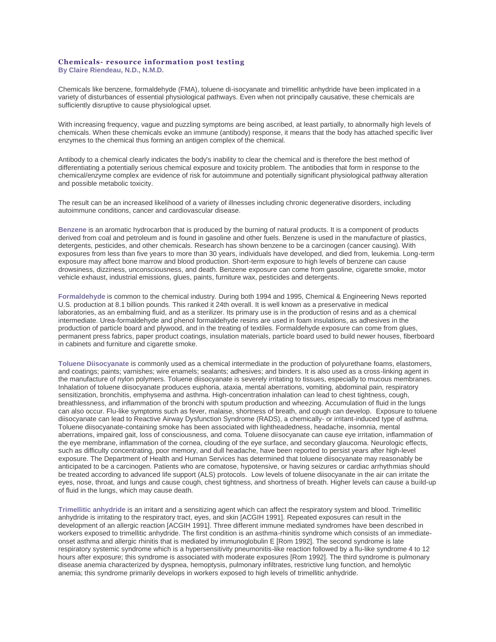## **Chemicals- resource information post testing By Claire Riendeau, N.D., N.M.D.**

Chemicals like benzene, formaldehyde (FMA), toluene di-isocyanate and trimellitic anhydride have been implicated in a variety of disturbances of essential physiological pathways. Even when not principally causative, these chemicals are sufficiently disruptive to cause physiological upset.

With increasing frequency, vague and puzzling symptoms are being ascribed, at least partially, to abnormally high levels of chemicals. When these chemicals evoke an immune (antibody) response, it means that the body has attached specific liver enzymes to the chemical thus forming an antigen complex of the chemical.

Antibody to a chemical clearly indicates the body's inability to clear the chemical and is therefore the best method of differentiating a potentially serious chemical exposure and toxicity problem. The antibodies that form in response to the chemical/enzyme complex are evidence of risk for autoimmune and potentially significant physiological pathway alteration and possible metabolic toxicity.

The result can be an increased likelihood of a variety of illnesses including chronic degenerative disorders, including autoimmune conditions, cancer and cardiovascular disease.

**Benzene** is an aromatic hydrocarbon that is produced by the burning of natural products. It is a component of products derived from coal and petroleum and is found in gasoline and other fuels. Benzene is used in the manufacture of plastics, detergents, pesticides, and other chemicals. Research has shown benzene to be a carcinogen (cancer causing). With exposures from less than five years to more than 30 years, individuals have developed, and died from, leukemia. Long-term exposure may affect bone marrow and blood production. Short-term exposure to high levels of benzene can cause drowsiness, dizziness, unconsciousness, and death. Benzene exposure can come from gasoline, cigarette smoke, motor vehicle exhaust, industrial emissions, glues, paints, furniture wax, pesticides and detergents.

**Formaldehyde** is common to the chemical industry. During both 1994 and 1995, Chemical & Engineering News reported U.S. production at 8.1 billion pounds. This ranked it 24th overall. It is well known as a preservative in medical laboratories, as an embalming fluid, and as a sterilizer. Its primary use is in the production of resins and as a chemical intermediate. Urea-formaldehyde and phenol formaldehyde resins are used in foam insulations, as adhesives in the production of particle board and plywood, and in the treating of textiles. Formaldehyde exposure can come from glues, permanent press fabrics, paper product coatings, insulation materials, particle board used to build newer houses, fiberboard in cabinets and furniture and cigarette smoke.

**Toluene Diisocyanate** is commonly used as a chemical intermediate in the production of polyurethane foams, elastomers, and coatings; paints; varnishes; wire enamels; sealants; adhesives; and binders. It is also used as a cross-linking agent in the manufacture of nylon polymers. Toluene diisocyanate is severely irritating to tissues, especially to mucous membranes. Inhalation of toluene diisocyanate produces euphoria, ataxia, mental aberrations, vomiting, abdominal pain, respiratory sensitization, bronchitis, emphysema and asthma. High-concentration inhalation can lead to chest tightness, cough, breathlessness, and inflammation of the bronchi with sputum production and wheezing. Accumulation of fluid in the lungs can also occur. Flu-like symptoms such as fever, malaise, shortness of breath, and cough can develop. Exposure to toluene diisocyanate can lead to Reactive Airway Dysfunction Syndrome (RADS), a chemically- or irritant-induced type of asthma. Toluene diisocyanate-containing smoke has been associated with lightheadedness, headache, insomnia, mental aberrations, impaired gait, loss of consciousness, and coma. Toluene diisocyanate can cause eye irritation, inflammation of the eye membrane, inflammation of the cornea, clouding of the eye surface, and secondary glaucoma. Neurologic effects, such as difficulty concentrating, poor memory, and dull headache, have been reported to persist years after high-level exposure. The Department of Health and Human Services has determined that toluene diisocyanate may reasonably be anticipated to be a carcinogen. Patients who are comatose, hypotensive, or having seizures or cardiac arrhythmias should be treated according to advanced life support (ALS) protocols. Low levels of toluene diisocyanate in the air can irritate the eyes, nose, throat, and lungs and cause cough, chest tightness, and shortness of breath. Higher levels can cause a build-up of fluid in the lungs, which may cause death.

**Trimellitic anhydride** is an irritant and a sensitizing agent which can affect the respiratory system and blood. Trimellitic anhydride is irritating to the respiratory tract, eyes, and skin [ACGIH 1991]. Repeated exposures can result in the development of an allergic reaction [ACGIH 1991]. Three different immune mediated syndromes have been described in workers exposed to trimellitic anhydride. The first condition is an asthma-rhinitis syndrome which consists of an immediateonset asthma and allergic rhinitis that is mediated by immunoglobulin E [Rom 1992]. The second syndrome is late respiratory systemic syndrome which is a hypersensitivity pneumonitis-like reaction followed by a flu-like syndrome 4 to 12 hours after exposure; this syndrome is associated with moderate exposures [Rom 1992]. The third syndrome is pulmonary disease anemia characterized by dyspnea, hemoptysis, pulmonary infiltrates, restrictive lung function, and hemolytic anemia; this syndrome primarily develops in workers exposed to high levels of trimellitic anhydride.